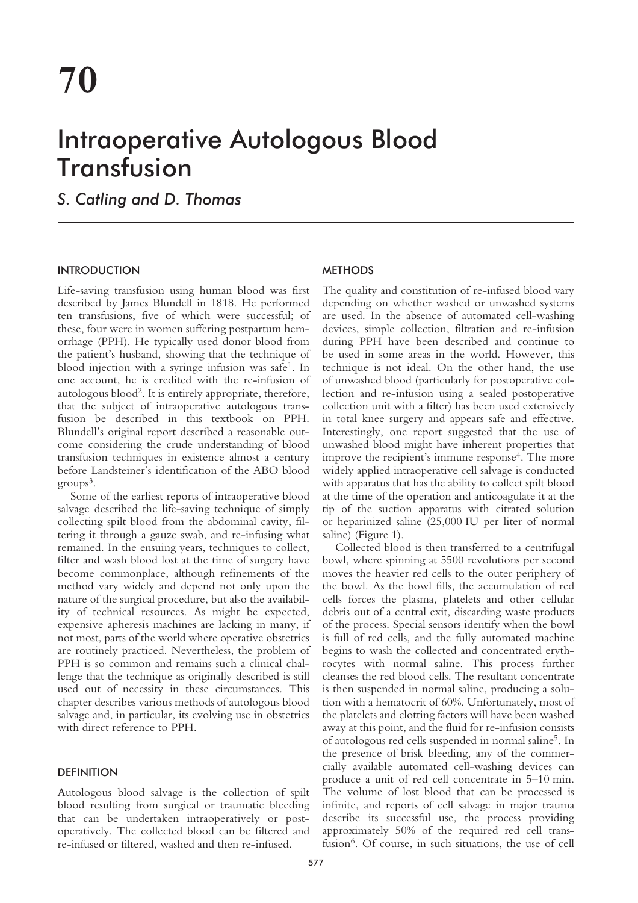# Intraoperative Autologous Blood Transfusion

*S. Catling and D. Thomas*

### INTRODUCTION

Life-saving transfusion using human blood was first described by James Blundell in 1818. He performed ten transfusions, five of which were successful; of these, four were in women suffering postpartum hemorrhage (PPH). He typically used donor blood from the patient's husband, showing that the technique of blood injection with a syringe infusion was safe1. In one account, he is credited with the re-infusion of autologous blood2. It is entirely appropriate, therefore, that the subject of intraoperative autologous transfusion be described in this textbook on PPH. Blundell's original report described a reasonable outcome considering the crude understanding of blood transfusion techniques in existence almost a century before Landsteiner's identification of the ABO blood  $groups<sup>3</sup>$ .

Some of the earliest reports of intraoperative blood salvage described the life-saving technique of simply collecting spilt blood from the abdominal cavity, filtering it through a gauze swab, and re-infusing what remained. In the ensuing years, techniques to collect, filter and wash blood lost at the time of surgery have become commonplace, although refinements of the method vary widely and depend not only upon the nature of the surgical procedure, but also the availability of technical resources. As might be expected, expensive apheresis machines are lacking in many, if not most, parts of the world where operative obstetrics are routinely practiced. Nevertheless, the problem of PPH is so common and remains such a clinical challenge that the technique as originally described is still used out of necessity in these circumstances. This chapter describes various methods of autologous blood salvage and, in particular, its evolving use in obstetrics with direct reference to PPH.

### **DEFINITION**

Autologous blood salvage is the collection of spilt blood resulting from surgical or traumatic bleeding that can be undertaken intraoperatively or postoperatively. The collected blood can be filtered and re-infused or filtered, washed and then re-infused.

## METHODS

The quality and constitution of re-infused blood vary depending on whether washed or unwashed systems are used. In the absence of automated cell-washing devices, simple collection, filtration and re-infusion during PPH have been described and continue to be used in some areas in the world. However, this technique is not ideal. On the other hand, the use of unwashed blood (particularly for postoperative collection and re-infusion using a sealed postoperative collection unit with a filter) has been used extensively in total knee surgery and appears safe and effective. Interestingly, one report suggested that the use of unwashed blood might have inherent properties that improve the recipient's immune response<sup>4</sup>. The more widely applied intraoperative cell salvage is conducted with apparatus that has the ability to collect spilt blood at the time of the operation and anticoagulate it at the tip of the suction apparatus with citrated solution or heparinized saline (25,000 IU per liter of normal saline) (Figure 1).

Collected blood is then transferred to a centrifugal bowl, where spinning at 5500 revolutions per second moves the heavier red cells to the outer periphery of the bowl. As the bowl fills, the accumulation of red cells forces the plasma, platelets and other cellular debris out of a central exit, discarding waste products of the process. Special sensors identify when the bowl is full of red cells, and the fully automated machine begins to wash the collected and concentrated erythrocytes with normal saline. This process further cleanses the red blood cells. The resultant concentrate is then suspended in normal saline, producing a solution with a hematocrit of 60%. Unfortunately, most of the platelets and clotting factors will have been washed away at this point, and the fluid for re-infusion consists of autologous red cells suspended in normal saline5. In the presence of brisk bleeding, any of the commercially available automated cell-washing devices can produce a unit of red cell concentrate in 5–10 min. The volume of lost blood that can be processed is infinite, and reports of cell salvage in major trauma describe its successful use, the process providing approximately 50% of the required red cell transfusion<sup>6</sup>. Of course, in such situations, the use of cell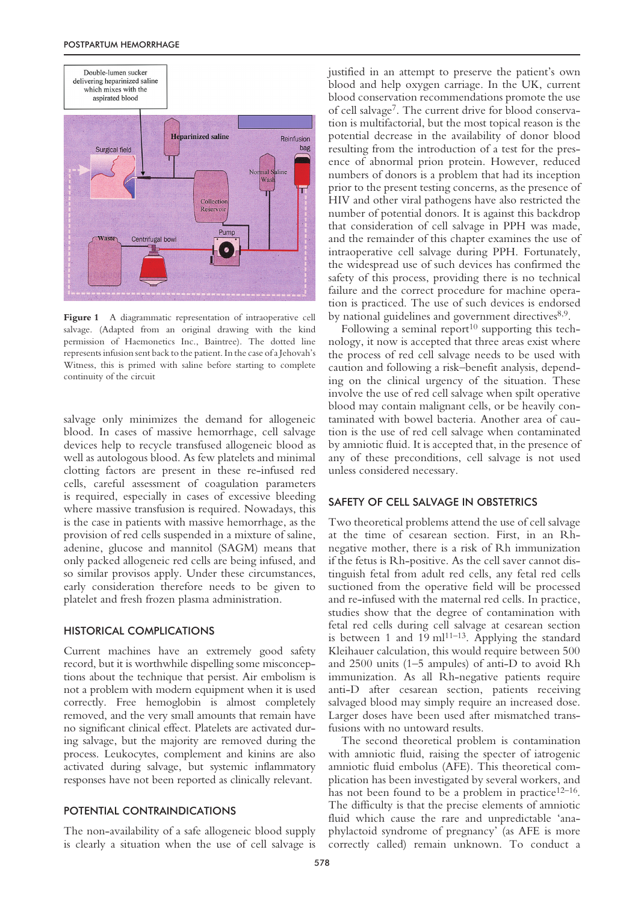

Figure 1 A diagrammatic representation of intraoperative cell salvage. (Adapted from an original drawing with the kind permission of Haemonetics Inc., Baintree). The dotted line represents infusion sent back to the patient. In the case of a Jehovah's Witness, this is primed with saline before starting to complete continuity of the circuit

salvage only minimizes the demand for allogeneic blood. In cases of massive hemorrhage, cell salvage devices help to recycle transfused allogeneic blood as well as autologous blood. As few platelets and minimal clotting factors are present in these re-infused red cells, careful assessment of coagulation parameters is required, especially in cases of excessive bleeding where massive transfusion is required. Nowadays, this is the case in patients with massive hemorrhage, as the provision of red cells suspended in a mixture of saline, adenine, glucose and mannitol (SAGM) means that only packed allogeneic red cells are being infused, and so similar provisos apply. Under these circumstances, early consideration therefore needs to be given to platelet and fresh frozen plasma administration.

#### HISTORICAL COMPLICATIONS

Current machines have an extremely good safety record, but it is worthwhile dispelling some misconceptions about the technique that persist. Air embolism is not a problem with modern equipment when it is used correctly. Free hemoglobin is almost completely removed, and the very small amounts that remain have no significant clinical effect. Platelets are activated during salvage, but the majority are removed during the process. Leukocytes, complement and kinins are also activated during salvage, but systemic inflammatory responses have not been reported as clinically relevant.

#### POTENTIAL CONTRAINDICATIONS

The non-availability of a safe allogeneic blood supply is clearly a situation when the use of cell salvage is justified in an attempt to preserve the patient's own blood and help oxygen carriage. In the UK, current blood conservation recommendations promote the use of cell salvage7. The current drive for blood conservation is multifactorial, but the most topical reason is the potential decrease in the availability of donor blood resulting from the introduction of a test for the presence of abnormal prion protein. However, reduced numbers of donors is a problem that had its inception prior to the present testing concerns, as the presence of HIV and other viral pathogens have also restricted the number of potential donors. It is against this backdrop that consideration of cell salvage in PPH was made, and the remainder of this chapter examines the use of intraoperative cell salvage during PPH. Fortunately, the widespread use of such devices has confirmed the safety of this process, providing there is no technical failure and the correct procedure for machine operation is practiced. The use of such devices is endorsed by national guidelines and government directives<sup>8,9</sup>.

Following a seminal report<sup>10</sup> supporting this technology, it now is accepted that three areas exist where the process of red cell salvage needs to be used with caution and following a risk–benefit analysis, depending on the clinical urgency of the situation. These involve the use of red cell salvage when spilt operative blood may contain malignant cells, or be heavily contaminated with bowel bacteria. Another area of caution is the use of red cell salvage when contaminated by amniotic fluid. It is accepted that, in the presence of any of these preconditions, cell salvage is not used unless considered necessary.

#### SAFETY OF CELL SALVAGE IN OBSTETRICS

Two theoretical problems attend the use of cell salvage at the time of cesarean section. First, in an Rhnegative mother, there is a risk of Rh immunization if the fetus is Rh-positive. As the cell saver cannot distinguish fetal from adult red cells, any fetal red cells suctioned from the operative field will be processed and re-infused with the maternal red cells. In practice, studies show that the degree of contamination with fetal red cells during cell salvage at cesarean section is between 1 and  $19 \text{ ml}^{11-13}$ . Applying the standard Kleihauer calculation, this would require between 500 and 2500 units (1–5 ampules) of anti-D to avoid Rh immunization. As all Rh-negative patients require anti-D after cesarean section, patients receiving salvaged blood may simply require an increased dose. Larger doses have been used after mismatched transfusions with no untoward results.

The second theoretical problem is contamination with amniotic fluid, raising the specter of iatrogenic amniotic fluid embolus (AFE). This theoretical complication has been investigated by several workers, and has not been found to be a problem in practice $12-16$ . The difficulty is that the precise elements of amniotic fluid which cause the rare and unpredictable 'anaphylactoid syndrome of pregnancy' (as AFE is more correctly called) remain unknown. To conduct a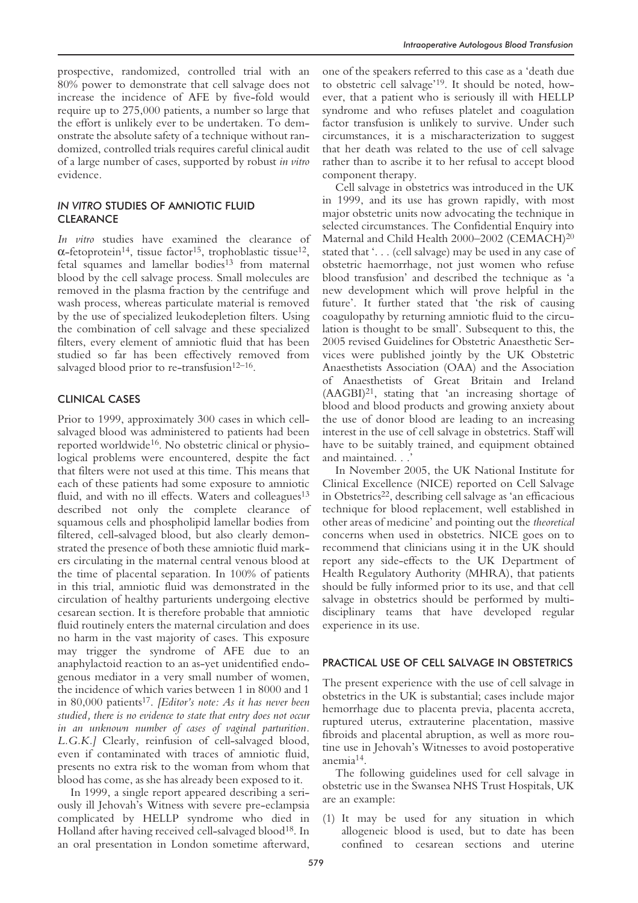## *IN VITRO* STUDIES OF AMNIOTIC FLUID **CLEARANCE**

*In vitro* studies have examined the clearance of α-fetoprotein<sup>14</sup>, tissue factor<sup>15</sup>, trophoblastic tissue<sup>12</sup>, fetal squames and lamellar bodies<sup>13</sup> from maternal blood by the cell salvage process. Small molecules are removed in the plasma fraction by the centrifuge and wash process, whereas particulate material is removed by the use of specialized leukodepletion filters. Using the combination of cell salvage and these specialized filters, every element of amniotic fluid that has been studied so far has been effectively removed from salvaged blood prior to re-transfusion $12-16$ .

## CLINICAL CASES

Prior to 1999, approximately 300 cases in which cellsalvaged blood was administered to patients had been reported worldwide16. No obstetric clinical or physiological problems were encountered, despite the fact that filters were not used at this time. This means that each of these patients had some exposure to amniotic fluid, and with no ill effects. Waters and colleagues<sup>13</sup> described not only the complete clearance of squamous cells and phospholipid lamellar bodies from filtered, cell-salvaged blood, but also clearly demonstrated the presence of both these amniotic fluid markers circulating in the maternal central venous blood at the time of placental separation. In 100% of patients in this trial, amniotic fluid was demonstrated in the circulation of healthy parturients undergoing elective cesarean section. It is therefore probable that amniotic fluid routinely enters the maternal circulation and does no harm in the vast majority of cases. This exposure may trigger the syndrome of AFE due to an anaphylactoid reaction to an as-yet unidentified endogenous mediator in a very small number of women, the incidence of which varies between 1 in 8000 and 1 in 80,000 patients17. *[Editor's note: As it has never been studied, there is no evidence to state that entry does not occur in an unknown number of cases of vaginal parturition. L.G.K.]* Clearly, reinfusion of cell-salvaged blood, even if contaminated with traces of amniotic fluid, presents no extra risk to the woman from whom that blood has come, as she has already been exposed to it.

In 1999, a single report appeared describing a seriously ill Jehovah's Witness with severe pre-eclampsia complicated by HELLP syndrome who died in Holland after having received cell-salvaged blood<sup>18</sup>. In an oral presentation in London sometime afterward,

one of the speakers referred to this case as a 'death due to obstetric cell salvage'19. It should be noted, however, that a patient who is seriously ill with HELLP syndrome and who refuses platelet and coagulation factor transfusion is unlikely to survive. Under such circumstances, it is a mischaracterization to suggest that her death was related to the use of cell salvage rather than to ascribe it to her refusal to accept blood component therapy.

Cell salvage in obstetrics was introduced in the UK in 1999, and its use has grown rapidly, with most major obstetric units now advocating the technique in selected circumstances. The Confidential Enquiry into Maternal and Child Health 2000–2002 (CEMACH)20 stated that '. . . (cell salvage) may be used in any case of obstetric haemorrhage, not just women who refuse blood transfusion' and described the technique as 'a new development which will prove helpful in the future'. It further stated that 'the risk of causing coagulopathy by returning amniotic fluid to the circulation is thought to be small'. Subsequent to this, the 2005 revised Guidelines for Obstetric Anaesthetic Services were published jointly by the UK Obstetric Anaesthetists Association (OAA) and the Association of Anaesthetists of Great Britain and Ireland  $(AAGBI)<sup>21</sup>$ , stating that 'an increasing shortage of blood and blood products and growing anxiety about the use of donor blood are leading to an increasing interest in the use of cell salvage in obstetrics. Staff will have to be suitably trained, and equipment obtained and maintained. . .

In November 2005, the UK National Institute for Clinical Excellence (NICE) reported on Cell Salvage in Obstetrics<sup>22</sup>, describing cell salvage as 'an efficacious technique for blood replacement, well established in other areas of medicine' and pointing out the *theoretical* concerns when used in obstetrics. NICE goes on to recommend that clinicians using it in the UK should report any side-effects to the UK Department of Health Regulatory Authority (MHRA), that patients should be fully informed prior to its use, and that cell salvage in obstetrics should be performed by multidisciplinary teams that have developed regular experience in its use.

### PRACTICAL USE OF CELL SALVAGE IN OBSTETRICS

The present experience with the use of cell salvage in obstetrics in the UK is substantial; cases include major hemorrhage due to placenta previa, placenta accreta, ruptured uterus, extrauterine placentation, massive fibroids and placental abruption, as well as more routine use in Jehovah's Witnesses to avoid postoperative anemia14.

The following guidelines used for cell salvage in obstetric use in the Swansea NHS Trust Hospitals, UK are an example:

(1) It may be used for any situation in which allogeneic blood is used, but to date has been confined to cesarean sections and uterine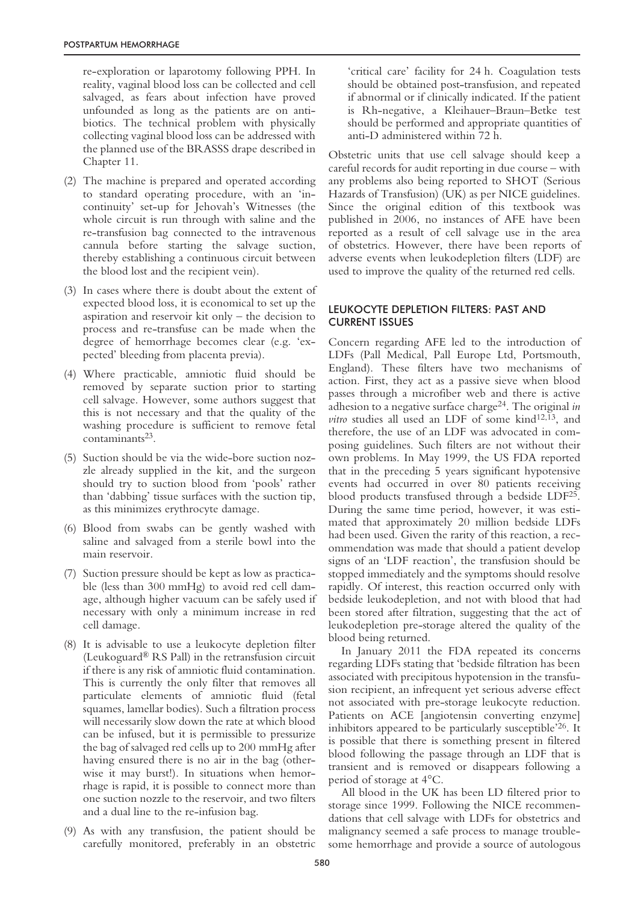re-exploration or laparotomy following PPH. In reality, vaginal blood loss can be collected and cell salvaged, as fears about infection have proved unfounded as long as the patients are on antibiotics. The technical problem with physically collecting vaginal blood loss can be addressed with the planned use of the BRASSS drape described in Chapter 11.

- (2) The machine is prepared and operated according to standard operating procedure, with an 'incontinuity' set-up for Jehovah's Witnesses (the whole circuit is run through with saline and the re-transfusion bag connected to the intravenous cannula before starting the salvage suction, thereby establishing a continuous circuit between the blood lost and the recipient vein).
- (3) In cases where there is doubt about the extent of expected blood loss, it is economical to set up the aspiration and reservoir kit only – the decision to process and re-transfuse can be made when the degree of hemorrhage becomes clear (e.g. 'expected' bleeding from placenta previa).
- (4) Where practicable, amniotic fluid should be removed by separate suction prior to starting cell salvage. However, some authors suggest that this is not necessary and that the quality of the washing procedure is sufficient to remove fetal contaminants<sup>23</sup>.
- (5) Suction should be via the wide-bore suction nozzle already supplied in the kit, and the surgeon should try to suction blood from 'pools' rather than 'dabbing' tissue surfaces with the suction tip, as this minimizes erythrocyte damage.
- (6) Blood from swabs can be gently washed with saline and salvaged from a sterile bowl into the main reservoir.
- (7) Suction pressure should be kept as low as practicable (less than 300 mmHg) to avoid red cell damage, although higher vacuum can be safely used if necessary with only a minimum increase in red cell damage.
- (8) It is advisable to use a leukocyte depletion filter (Leukoguard® RS Pall) in the retransfusion circuit if there is any risk of amniotic fluid contamination. This is currently the only filter that removes all particulate elements of amniotic fluid (fetal squames, lamellar bodies). Such a filtration process will necessarily slow down the rate at which blood can be infused, but it is permissible to pressurize the bag of salvaged red cells up to 200 mmHg after having ensured there is no air in the bag (otherwise it may burst!). In situations when hemorrhage is rapid, it is possible to connect more than one suction nozzle to the reservoir, and two filters and a dual line to the re-infusion bag.
- (9) As with any transfusion, the patient should be carefully monitored, preferably in an obstetric

'critical care' facility for 24 h. Coagulation tests should be obtained post-transfusion, and repeated if abnormal or if clinically indicated. If the patient is Rh-negative, a Kleihauer–Braun–Betke test should be performed and appropriate quantities of anti-D administered within 72 h.

Obstetric units that use cell salvage should keep a careful records for audit reporting in due course – with any problems also being reported to SHOT (Serious Hazards of Transfusion) (UK) as per NICE guidelines. Since the original edition of this textbook was published in 2006, no instances of AFE have been reported as a result of cell salvage use in the area of obstetrics. However, there have been reports of adverse events when leukodepletion filters (LDF) are used to improve the quality of the returned red cells.

# LEUKOCYTE DEPLETION FILTERS: PAST AND CURRENT ISSUES

Concern regarding AFE led to the introduction of LDFs (Pall Medical, Pall Europe Ltd, Portsmouth, England). These filters have two mechanisms of action. First, they act as a passive sieve when blood passes through a microfiber web and there is active adhesion to a negative surface charge24. The original *in vitro* studies all used an LDF of some kind<sup>12,13</sup>, and therefore, the use of an LDF was advocated in composing guidelines. Such filters are not without their own problems. In May 1999, the US FDA reported that in the preceding 5 years significant hypotensive events had occurred in over 80 patients receiving blood products transfused through a bedside LDF25. During the same time period, however, it was estimated that approximately 20 million bedside LDFs had been used. Given the rarity of this reaction, a recommendation was made that should a patient develop signs of an 'LDF reaction', the transfusion should be stopped immediately and the symptoms should resolve rapidly. Of interest, this reaction occurred only with bedside leukodepletion, and not with blood that had been stored after filtration, suggesting that the act of leukodepletion pre-storage altered the quality of the blood being returned.

In January 2011 the FDA repeated its concerns regarding LDFs stating that 'bedside filtration has been associated with precipitous hypotension in the transfusion recipient, an infrequent yet serious adverse effect not associated with pre-storage leukocyte reduction. Patients on ACE [angiotensin converting enzyme] inhibitors appeared to be particularly susceptible'26. It is possible that there is something present in filtered blood following the passage through an LDF that is transient and is removed or disappears following a period of storage at 4°C.

All blood in the UK has been LD filtered prior to storage since 1999. Following the NICE recommendations that cell salvage with LDFs for obstetrics and malignancy seemed a safe process to manage troublesome hemorrhage and provide a source of autologous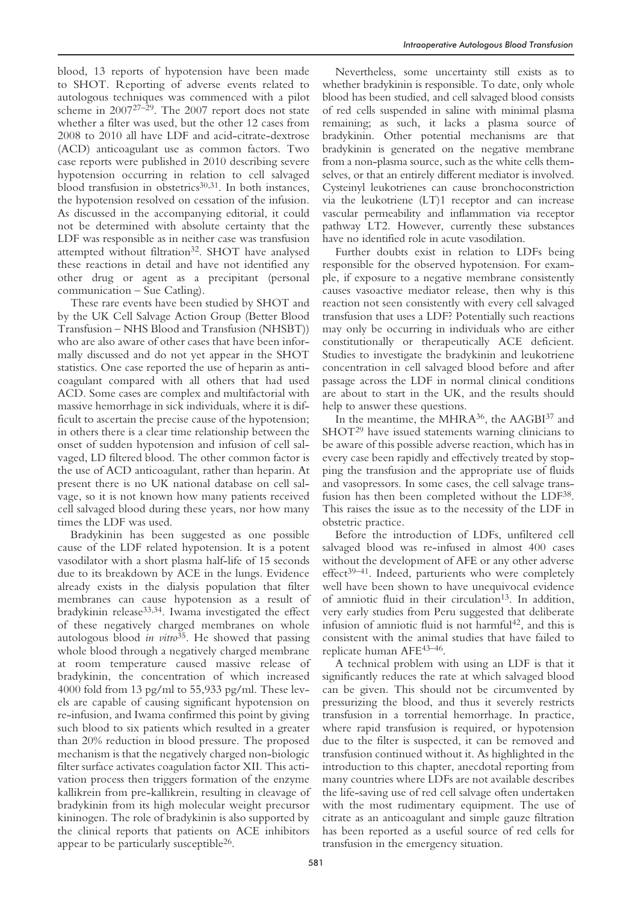blood, 13 reports of hypotension have been made to SHOT. Reporting of adverse events related to autologous techniques was commenced with a pilot scheme in 200727–29. The 2007 report does not state whether a filter was used, but the other 12 cases from 2008 to 2010 all have LDF and acid-citrate-dextrose (ACD) anticoagulant use as common factors. Two case reports were published in 2010 describing severe hypotension occurring in relation to cell salvaged blood transfusion in obstetrics<sup>30,31</sup>. In both instances, the hypotension resolved on cessation of the infusion. As discussed in the accompanying editorial, it could not be determined with absolute certainty that the LDF was responsible as in neither case was transfusion attempted without filtration<sup>32</sup>. SHOT have analysed these reactions in detail and have not identified any other drug or agent as a precipitant (personal communication – Sue Catling).

These rare events have been studied by SHOT and by the UK Cell Salvage Action Group (Better Blood Transfusion – NHS Blood and Transfusion (NHSBT)) who are also aware of other cases that have been informally discussed and do not yet appear in the SHOT statistics. One case reported the use of heparin as anticoagulant compared with all others that had used ACD. Some cases are complex and multifactorial with massive hemorrhage in sick individuals, where it is difficult to ascertain the precise cause of the hypotension; in others there is a clear time relationship between the onset of sudden hypotension and infusion of cell salvaged, LD filtered blood. The other common factor is the use of ACD anticoagulant, rather than heparin. At present there is no UK national database on cell salvage, so it is not known how many patients received cell salvaged blood during these years, nor how many times the LDF was used.

Bradykinin has been suggested as one possible cause of the LDF related hypotension. It is a potent vasodilator with a short plasma half-life of 15 seconds due to its breakdown by ACE in the lungs. Evidence already exists in the dialysis population that filter membranes can cause hypotension as a result of bradykinin release33,34. Iwama investigated the effect of these negatively charged membranes on whole autologous blood *in vitro*35. He showed that passing whole blood through a negatively charged membrane at room temperature caused massive release of bradykinin, the concentration of which increased 4000 fold from 13 pg/ml to 55,933 pg/ml. These levels are capable of causing significant hypotension on re-infusion, and Iwama confirmed this point by giving such blood to six patients which resulted in a greater than 20% reduction in blood pressure. The proposed mechanism is that the negatively charged non-biologic filter surface activates coagulation factor XII. This activation process then triggers formation of the enzyme kallikrein from pre-kallikrein, resulting in cleavage of bradykinin from its high molecular weight precursor kininogen. The role of bradykinin is also supported by the clinical reports that patients on ACE inhibitors appear to be particularly susceptible26.

Nevertheless, some uncertainty still exists as to whether bradykinin is responsible. To date, only whole blood has been studied, and cell salvaged blood consists of red cells suspended in saline with minimal plasma remaining; as such, it lacks a plasma source of bradykinin. Other potential mechanisms are that bradykinin is generated on the negative membrane from a non-plasma source, such as the white cells themselves, or that an entirely different mediator is involved. Cysteinyl leukotrienes can cause bronchoconstriction via the leukotriene (LT)1 receptor and can increase vascular permeability and inflammation via receptor pathway LT2. However, currently these substances have no identified role in acute vasodilation.

Further doubts exist in relation to LDFs being responsible for the observed hypotension. For example, if exposure to a negative membrane consistently causes vasoactive mediator release, then why is this reaction not seen consistently with every cell salvaged transfusion that uses a LDF? Potentially such reactions may only be occurring in individuals who are either constitutionally or therapeutically ACE deficient. Studies to investigate the bradykinin and leukotriene concentration in cell salvaged blood before and after passage across the LDF in normal clinical conditions are about to start in the UK, and the results should help to answer these questions.

In the meantime, the MHRA<sup>36</sup>, the AAGBI<sup>37</sup> and SHOT<sup>29</sup> have issued statements warning clinicians to be aware of this possible adverse reaction, which has in every case been rapidly and effectively treated by stopping the transfusion and the appropriate use of fluids and vasopressors. In some cases, the cell salvage transfusion has then been completed without the LDF38. This raises the issue as to the necessity of the LDF in obstetric practice.

Before the introduction of LDFs, unfiltered cell salvaged blood was re-infused in almost 400 cases without the development of AFE or any other adverse effect<sup>39-41</sup>. Indeed, parturients who were completely well have been shown to have unequivocal evidence of amniotic fluid in their circulation<sup>13</sup>. In addition, very early studies from Peru suggested that deliberate infusion of amniotic fluid is not harmful<sup>42</sup>, and this is consistent with the animal studies that have failed to replicate human AFE43–46.

A technical problem with using an LDF is that it significantly reduces the rate at which salvaged blood can be given. This should not be circumvented by pressurizing the blood, and thus it severely restricts transfusion in a torrential hemorrhage. In practice, where rapid transfusion is required, or hypotension due to the filter is suspected, it can be removed and transfusion continued without it. As highlighted in the introduction to this chapter, anecdotal reporting from many countries where LDFs are not available describes the life-saving use of red cell salvage often undertaken with the most rudimentary equipment. The use of citrate as an anticoagulant and simple gauze filtration has been reported as a useful source of red cells for transfusion in the emergency situation.